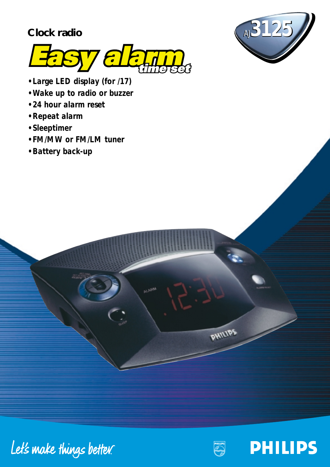# **Clock radio**





- *Large LED display (for /17)*
- *Wake up to radio or buzzer*
- *24 hour alarm reset*
- *Repeat alarm*
- *Sleeptimer*
- *FM/MW or FM/LM tuner*
- *Battery back-up*





PHILIPS